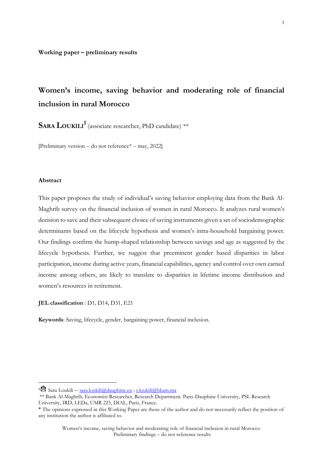# **Women's income, saving behavior and moderating role of financial inclusion in rural Morocco**

**SARA LOUKILI<sup>1</sup>** (associate researcher, PhD candidate) \*\*

[Preliminary version – do not reference\* – may, 2022]

#### **Abstract**

**.** 

This paper proposes the study of individual's saving behavior employing data from the Bank Al-Maghrib survey on the financial inclusion of women in rural Morocco. It analyzes rural women's decision to save and their subsequent choice of saving instruments given a set of sociodemographic determinants based on the lifecycle hypothesis and women's intra-household bargaining power. Our findings confirm the hump-shaped relationship between savings and age as suggested by the lifecycle hypothesis. Further, we suggest that preeminent gender based disparities in labor participation, income during active years, financial capabilities, agency and control over own earned income among others, are likely to translate to disparities in lifetime income distribution and women's resources in retirement.

**JEL classification** : D1, D14, D31, E21

**Keywords**: Saving, lifecycle, gender, bargaining power, financial inclusion.

<sup>&</sup>lt;sup>1</sup> $\mathbb{R}$  Sara Loukili – [sara.loukili@dauphine.eu](mailto:sara.loukili@dauphine.eu) ; [s.loukili@bkam.ma](mailto:s.loukili@bkam.ma)

<sup>\*\*</sup> Bank Al-Maghrib, Economist Researcher, Research Department. Paris-Dauphine University, PSL Research University, IRD, LEDa, UMR 225, DIAL, Paris, France.

<sup>\*</sup> The opinions expressed in this Working Paper are those of the author and do not necessarily reflect the position of any institution the author is affiliated to.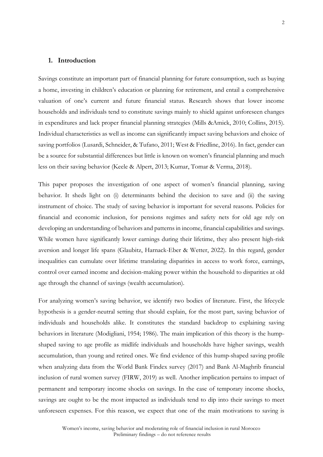#### **1. Introduction**

Savings constitute an important part of financial planning for future consumption, such as buying a home, investing in children's education or planning for retirement, and entail a comprehensive valuation of one's current and future financial status. Research shows that lower income households and individuals tend to constitute savings mainly to shield against unforeseen changes in expenditures and lack proper financial planning strategies (Mills &Amick, 2010; Collins, 2015). Individual characteristics as well as income can significantly impact saving behaviors and choice of saving portfolios (Lusardi, Schneider, & Tufano, 2011; West & Friedline, 2016). In fact, gender can be a source for substantial differences but little is known on women's financial planning and much less on their saving behavior (Keele & Alpert, 2013; Kumar, Tomar & Verma, 2018).

This paper proposes the investigation of one aspect of women's financial planning, saving behavior. It sheds light on (i) determinants behind the decision to save and (ii) the saving instrument of choice. The study of saving behavior is important for several reasons. Policies for financial and economic inclusion, for pensions regimes and safety nets for old age rely on developing an understanding of behaviors and patterns in income, financial capabilities and savings. While women have significantly lower earnings during their lifetime, they also present high-risk aversion and longer life spans (Glaubitz, Harnack-Eber & Wetter, 2022). In this regard, gender inequalities can cumulate over lifetime translating disparities in access to work force, earnings, control over earned income and decision-making power within the household to disparities at old age through the channel of savings (wealth accumulation).

For analyzing women's saving behavior, we identify two bodies of literature. First, the lifecycle hypothesis is a gender-neutral setting that should explain, for the most part, saving behavior of individuals and households alike. It constitutes the standard backdrop to explaining saving behaviors in literature (Modigliani, 1954; 1986). The main implication of this theory is the humpshaped saving to age profile as midlife individuals and households have higher savings, wealth accumulation, than young and retired ones. We find evidence of this hump-shaped saving profile when analyzing data from the World Bank Findex survey (2017) and Bank Al-Maghrib financial inclusion of rural women survey (FIRW, 2019) as well. Another implication pertains to impact of permanent and temporary income shocks on savings. In the case of temporary income shocks, savings are ought to be the most impacted as individuals tend to dip into their savings to meet unforeseen expenses. For this reason, we expect that one of the main motivations to saving is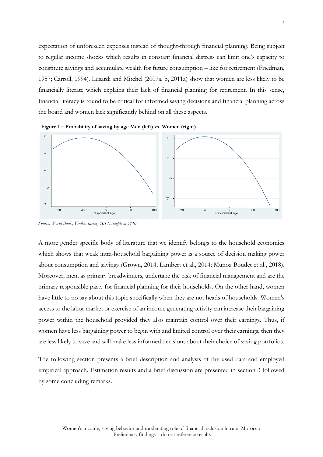expectation of unforeseen expenses instead of thought-through financial planning. Being subject to regular income shocks which results in constant financial distress can limit one's capacity to constitute savings and accumulate wealth for future consumption – like for retirement (Friedman, 1957; Carroll, 1994). Lusardi and Mitchel (2007a, b, 2011a) show that women are less likely to be financially literate which explains their lack of financial planning for retirement. In this sense, financial literacy is found to be critical for informed saving decisions and financial planning across the board and women lack significantly behind on all these aspects.



**Figure 1 – Probability of saving by age Men (left) vs. Women (right)** 

*Source: World Bank, Findex survey, 2017, sample of 5110* 

A more gender specific body of literature that we identify belongs to the household economics which shows that weak intra-household bargaining power is a source of decision making power about consumption and savings (Grown, 2014; Lambert et al., 2014; Munoz Boudet et al., 2018). Moreover, men, as primary breadwinners, undertake the task of financial management and are the primary responsible party for financial planning for their households. On the other hand, women have little to no say about this topic specifically when they are not heads of households. Women's access to the labor market or exercise of an income generating activity can increase their bargaining power within the household provided they also maintain control over their earnings. Thus, if women have less bargaining power to begin with and limited control over their earnings, then they are less likely to save and will make less informed decisions about their choice of saving portfolios.

The following section presents a brief description and analysis of the used data and employed empirical approach. Estimation results and a brief discussion are presented in section 3 followed by some concluding remarks.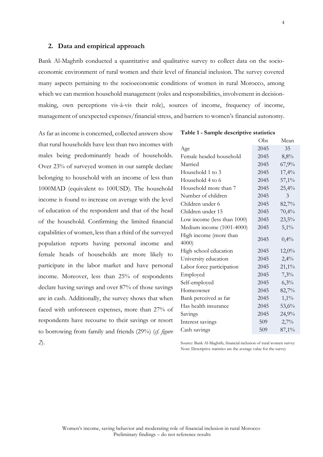#### **2. Data and empirical approach**

Bank Al-Maghrib conducted a quantitative and qualitative survey to collect data on the socioeconomic environment of rural women and their level of financial inclusion. The survey covered many aspects pertaining to the socioeconomic conditions of women in rural Morocco, among which we can mention household management (roles and responsibilities, involvement in decisionmaking, own perceptions vis-à-vis their role), sources of income, frequency of income, management of unexpected expenses/financial stress, and barriers to women's financial autonomy.

As far as income is concerned, collected answers show that rural households have less than two incomes with males being predominantly heads of households. Over 23% of surveyed women in our sample declare belonging to household with an income of less than 1000MAD (equivalent to 100USD). The household income is found to increase on average with the level of education of the respondent and that of the head of the household. Confirming the limited financial capabilities of women, less than a third of the surveyed population reports having personal income and female heads of households are more likely to participate in the labor market and have personal income. Moreover, less than 25% of respondents declare having savings and over 87% of those savings are in cash. Additionally, the survey shows that when faced with unforeseen expenses, more than 27% of respondents have recourse to their savings or resort to borrowing from family and friends (29%) (*cf. figure 2*).

**Table 1 - Sample descriptive statistics**

|                             | Obs  | Mean     |
|-----------------------------|------|----------|
| Age                         | 2045 | 35       |
| Female headed household     | 2045 | 8,8%     |
| Married                     | 2045 | 67,9%    |
| Household 1 to 3            | 2045 | 17,4%    |
| Household 4 to 6            | 2045 | 57,1%    |
| Household more than 7       | 2045 | 25,4%    |
| Number of children          | 2045 | 3        |
| Children under 6            | 2045 | 82,7%    |
| Children under 15           | 2045 | 70,4%    |
| Low income (less than 1000) | 2045 | 23,5%    |
| Medium income (1001-4000)   | 2045 | $5,1\%$  |
| High income (more than      | 2045 |          |
| 4000                        |      | 0,4%     |
| High school education       | 2045 | 12,0%    |
| University education        | 2045 | 2,4%     |
| Labor force participation   | 2045 | $21,1\%$ |
| Employed                    | 2045 | 7,3%     |
| Self-employed               | 2045 | 6,3%     |
| Homeowner                   | 2045 | 82,7%    |
| Bank perceived as far       | 2045 | $1,1\%$  |
| Has health insurance        | 2045 | 53,6%    |
| Savings                     | 2045 | 24,9%    |
| Interest savings            | 509  | 2,7%     |
| Cash savings                | 509  | 87,1%    |

Source: Bank Al-Maghrib, financial inclusion of rural women survey Note: Descriptive statistics are the average value for the survey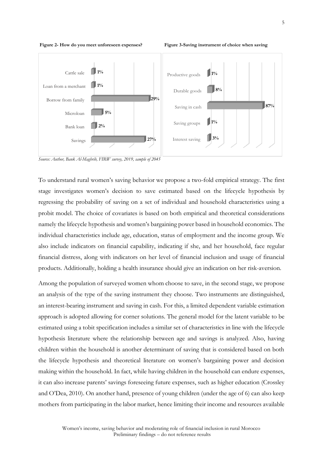

**Figure 2- How do you meet unforeseen expenses? Figure 3-Saving instrument of choice when saving**



*Source: Author, Bank Al-Maghrib, FIRW survey, 2019, sample of 2045*

To understand rural women's saving behavior we propose a two-fold empirical strategy. The first stage investigates women's decision to save estimated based on the lifecycle hypothesis by regressing the probability of saving on a set of individual and household characteristics using a probit model. The choice of covariates is based on both empirical and theoretical considerations namely the lifecycle hypothesis and women's bargaining power based in household economics. The individual characteristics include age, education, status of employment and the income group. We also include indicators on financial capability, indicating if she, and her household, face regular financial distress, along with indicators on her level of financial inclusion and usage of financial products. Additionally, holding a health insurance should give an indication on her risk-aversion.

Among the population of surveyed women whom choose to save, in the second stage, we propose an analysis of the type of the saving instrument they choose. Two instruments are distinguished, an interest-bearing instrument and saving in cash. For this, a limited dependent variable estimation approach is adopted allowing for corner solutions. The general model for the latent variable to be estimated using a tobit specification includes a similar set of characteristics in line with the lifecycle hypothesis literature where the relationship between age and savings is analyzed. Also, having children within the household is another determinant of saving that is considered based on both the lifecycle hypothesis and theoretical literature on women's bargaining power and decision making within the household. In fact, while having children in the household can endure expenses, it can also increase parents' savings foreseeing future expenses, such as higher education (Crossley and O'Dea, 2010). On another hand, presence of young children (under the age of 6) can also keep mothers from participating in the labor market, hence limiting their income and resources available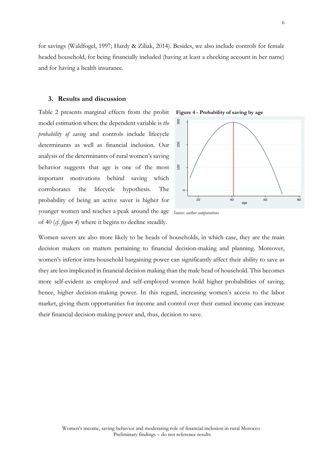for savings (Waldfogel, 1997; Hardy & Ziliak, 2014). Besides, we also include controls for female headed household, for being financially included (having at least a checking account in her name) and for having a health insurance.

#### **3. Results and discussion**

Table 2 presents marginal effects from the probit model estimation where the dependent variable is *the probability of saving* and controls include lifecycle determinants as well as financial inclusion. Our analysis of the determinants of rural women's saving behavior suggests that age is one of the most important motivations behind saving which corroborates the lifecycle hypothesis. The probability of being an active saver is higher for younger women and reaches a peak around the age *Source: author computations* of 40 (*cf. figure 4*) where it begins to decline steadily.





Women savers are also more likely to be heads of households, in which case, they are the main decision makers on matters pertaining to financial decision-making and planning. Moreover, women's inferior intra-household bargaining power can significantly affect their ability to save as they are less implicated in financial decision making than the male head of household. This becomes more self-evident as employed and self-employed women hold higher probabilities of saving, hence, higher decision-making power. In this regard, increasing women's access to the labor market, giving them opportunities for income and control over their earned income can increase their financial decision-making power and, thus, decision to save.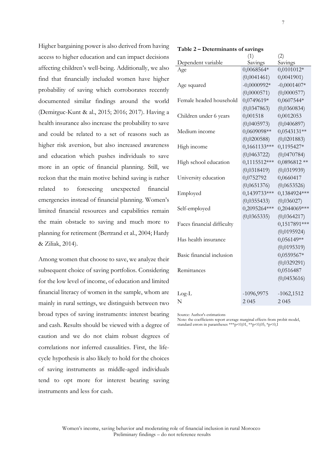Higher bargaining power is also derived from having access to higher education and can impact decisions affecting children's well-being. Additionally, w find that financially included women have probability of saving which corroborates re documented similar findings around the (Demirguc-Kunt & al., 2015; 2016; 2017). Ha health insurance also increase the probability to and could be related to a set of reasons su higher risk aversion, but also increased awareness and education which pushes individuals to more in an optic of financial planning. St reckon that the main motive behind saving is related to foreseeing unexpected fir emergencies instead of financial planning. Wo limited financial resources and capabilities r the main obstacle to saving and much mo planning for retirement (Bertrand et al., 2004; & Ziliak, 2014).

Among women that choose to save, we analyz subsequent choice of saving portfolios. Consid for the low level of income, of education and l financial literacy of women in the sample, whom are mainly in rural settings, we distinguish between two broad types of saving instruments: interest bearing and cash. Results should be viewed with a degree of caution and we do not claim robust degrees of correlations nor inferred causalities. First, the lifecycle hypothesis is also likely to hold for the choices of saving instruments as middle-aged individuals tend to opt more for interest bearing saving instruments and less for cash.

| cisions           |                            | (1)            | (2)           |
|-------------------|----------------------------|----------------|---------------|
|                   | Dependent variable         | Savings        | Savings       |
| ve also           | Age                        | 0,0068564*     | 0,0101012*    |
| higher            |                            | (0,0041461)    | 0,0041901     |
|                   | Age squared                | $-0,0000992*$  | $-0,0001407*$ |
| ecently           |                            | (0,0000571)    | (0,0000577)   |
| world             | Female headed household    | 0,0749619*     | 0,0607544*    |
| iving a           |                            | (0,0347863)    | (0,0360834)   |
|                   | Children under 6 years     | 0,001518       | 0,0012053     |
| to save           |                            | (0,0405973)    | (0,0406897)   |
| uch as            | Medium income              | 0,0609098**    | $0,0543131**$ |
|                   |                            | (0,0200588)    | (0,0201883)   |
| reness            | High income                | 0,1661133***   | 0,1195427*    |
| <sub>2</sub> save |                            | (0,0463722)    | (0,0470784)   |
|                   | High school education      | $0,1115512***$ | $0,0896812**$ |
| ill, we           |                            | (0,0318419)    | (0,0319939)   |
| rather            | University education       | 0,0752792      | 0,0660417     |
| nancial           |                            | (0,0651376)    | (0,0653526)   |
|                   | Employed                   | 0,1439733***   | 0,1384924***  |
| omen's            |                            | (0, 0355433)   | (0,036027)    |
| remain            | Self-employed              | 0,2095264***   | 0,2044069***  |
|                   |                            | (0,0365335)    | (0,0364217)   |
| ore<br>to         | Faces financial difficulty |                | 0,1517891***  |
| Hardy             |                            |                | (0,0195924)   |
|                   | Has health insurance       |                | $0,056149**$  |
|                   |                            |                | (0,0195319)   |
|                   | Basic financial inclusion  |                | 0,0559567*    |
| e their           |                            |                | (0,0329291)   |
| dering            | Remittances                |                | 0,0516487     |
|                   |                            |                | (0,0453616)   |
| imited            |                            |                |               |

**Table 2 – Determinants of savings** 

Source: Author's estimations

Note: the coefficients report average marginal effects from probit model, standard errors in parantheses \*\*\*p<0,01, \*\*p<0,05, \*p<0,1

Log-L -1096,9975 -1062,1512 N 2 045 2 045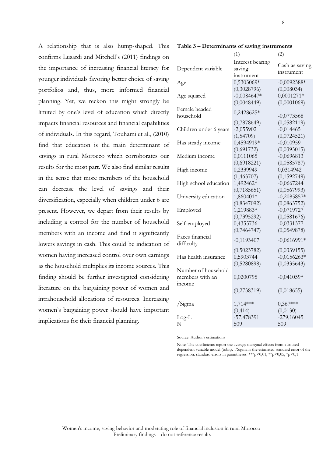**Table 3 – Determinants of saving instruments** 

| A relationship that is also hump-shaped. This           |  |  |  |  |
|---------------------------------------------------------|--|--|--|--|
| confirms Lusardi and Mitchell's (2011) findings on      |  |  |  |  |
| the importance of increasing financial literacy for     |  |  |  |  |
| younger individuals favoring better choice of saving    |  |  |  |  |
| portfolios and, thus, more informed financial           |  |  |  |  |
| planning. Yet, we reckon this might strongly be         |  |  |  |  |
| limited by one's level of education which directly      |  |  |  |  |
| impacts financial resources and financial capabilities  |  |  |  |  |
| of individuals. In this regard, Touhami et al., (2010)  |  |  |  |  |
| find that education is the main determinant of          |  |  |  |  |
| savings in rural Morocco which corroborates our         |  |  |  |  |
| results for the most part. We also find similar results |  |  |  |  |
| in the sense that more members of the household         |  |  |  |  |
| can decrease the level of savings and their             |  |  |  |  |
| diversification, especially when children under 6 are   |  |  |  |  |
| present. However, we depart from their results by       |  |  |  |  |
| including a control for the number of household         |  |  |  |  |
| members with an income and find it significantly        |  |  |  |  |
| lowers savings in cash. This could be indication of     |  |  |  |  |
| women having increased control over own earnings        |  |  |  |  |
| as the household multiplies its income sources. This    |  |  |  |  |
| finding should be further investigated considering      |  |  |  |  |
| literature on the bargaining power of women and         |  |  |  |  |
|                                                         |  |  |  |  |
| intrahousehold allocations of resources. Increasing     |  |  |  |  |
| women's bargaining power should have important          |  |  |  |  |

|                        | (1)              | (2)            |
|------------------------|------------------|----------------|
|                        | Interest bearing |                |
| Dependent variable     | saving           | Cash as saving |
|                        | instrument       | instrument     |
| Age                    | 0,5303069*       | $-0,0092388*$  |
|                        | (0,3028796)      | (0,008034)     |
| Age squared            | $-0,0084647*$    | $0,0001271*$   |
|                        | (0,0048449)      | (0,0001069)    |
| Female headed          | 0,2428625*       |                |
| household              |                  | $-0,0773568$   |
|                        | (0,7878649)      | (0,0582119)    |
| Children under 6 years | $-2,055902$      | $-0,014465$    |
|                        | (1,54709)        | (0,0724521)    |
| Has steady income      | 0,4594919*       | $-0,010959$    |
|                        | (0,691732)       | (0,0393015)    |
| Medium income          | 0,0111065        | $-0,0696813$   |
|                        | (0,6918221)      | (0,0585787)    |
| High income            | 0,2339949        | 0,0314942      |
|                        | (1,463707)       | (0, 1592749)   |
| High school education  | 1,492462*        | $-0,0667244$   |
|                        | (0,7185651)      | (0,0567993)    |
| University education   | 1,860401*        | $-0,2085857*$  |
|                        | (0,8347092)      | (0,0863752)    |
| Employed               | 1,219883*        | $-0,0719727$   |
|                        | (0,7395292)      | (0,0581676)    |
| Self-employed          | 0,4355736        | $-0,0331377$   |
|                        | (0,7464747)      | (0,0549878)    |
| Faces financial        | $-0,1193407$     | $-0,0616991*$  |
| difficulty             |                  |                |
|                        | (0,5023782)      | (0,0339155)    |
| Has health insurance   | 0,5903744        | $-0,0156263*$  |
|                        | (0,5280898)      | (0,0335643)    |
| Number of household    |                  |                |
| members with an        | 0,0200795        | $-0,041059*$   |
| mcome                  |                  |                |
|                        | (0,2738319)      | (0,018655)     |
| /Sigma                 | 1,714***         | $0,367***$     |
|                        | (0, 414)         | (0,0130)       |
| $Log-L$                | -57,478391       | $-279,16045$   |
| N                      | 509              | 509            |
|                        |                  |                |

Source: Author's estimations

Note: The coefficients report the average marginal effects from a limited dependent variable model (tobit). /Sigma is the estimated standard error of the regression. standard errors in parantheses. \*\*\*p<0,01, \*\*p<0,05, \*p<0,1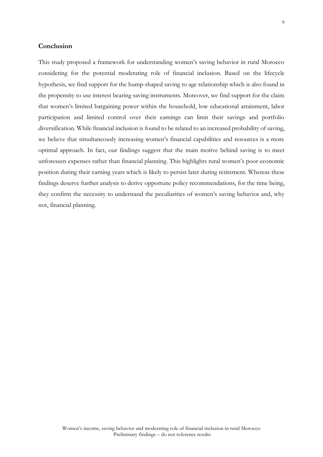### **Conclusion**

This study proposed a framework for understanding women's saving behavior in rural Morocco considering for the potential moderating role of financial inclusion. Based on the lifecycle hypothesis, we find support for the hump-shaped saving to age relationship which is also found in the propensity to use interest bearing saving instruments. Moreover, we find support for the claim that women's limited bargaining power within the household, low educational attainment, labor participation and limited control over their earnings can limit their savings and portfolio diversification. While financial inclusion is found to be related to an increased probability of saving, we believe that simultaneously increasing women's financial capabilities and resources is a more optimal approach. In fact, our findings suggest that the main motive behind saving is to meet unforeseen expenses rather than financial planning. This highlights rural women's poor economic position during their earning years which is likely to persist later during retirement. Whereas these findings deserve further analysis to derive opportune policy recommendations, for the time being, they confirm the necessity to understand the peculiarities of women's saving behavior and, why not, financial planning.